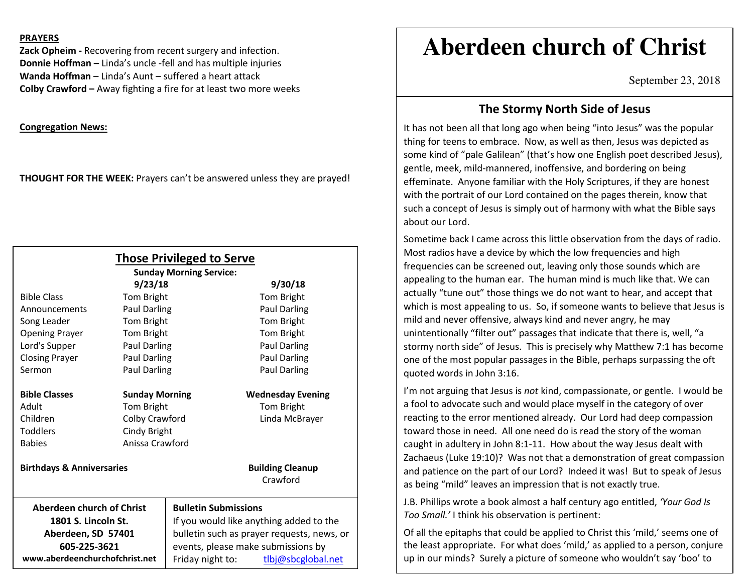#### **PRAYERS**

**Zack Opheim -** Recovering from recent surgery and infection. **Donnie Hoffman –** Linda's uncle -fell and has multiple injuries **Wanda Hoffman** – Linda's Aunt – suffered a heart attack **Colby Crawford –** Away fighting a fire for at least two more weeks

**Congregation News:**

**THOUGHT FOR THE WEEK:** Prayers can't be answered unless they are prayed!

| <b>Those Privileged to Serve</b><br><b>Sunday Morning Service:</b> |                       |                                            |                          |
|--------------------------------------------------------------------|-----------------------|--------------------------------------------|--------------------------|
| 9/23/18<br>9/30/18                                                 |                       |                                            |                          |
| <b>Bible Class</b>                                                 | Tom Bright            |                                            | Tom Bright               |
| Announcements                                                      | Paul Darling          |                                            | Paul Darling             |
| Song Leader                                                        | Tom Bright            |                                            | Tom Bright               |
| <b>Opening Prayer</b>                                              | Tom Bright            |                                            | Tom Bright               |
| Lord's Supper                                                      | Paul Darling          |                                            | Paul Darling             |
| <b>Closing Prayer</b>                                              | <b>Paul Darling</b>   |                                            | Paul Darling             |
| Sermon                                                             | <b>Paul Darling</b>   |                                            | <b>Paul Darling</b>      |
| <b>Bible Classes</b>                                               | <b>Sunday Morning</b> |                                            | <b>Wednesday Evening</b> |
| Adult                                                              | Tom Bright            |                                            | Tom Bright               |
| Children                                                           | Colby Crawford        |                                            | Linda McBrayer           |
| <b>Toddlers</b>                                                    | Cindy Bright          |                                            |                          |
| <b>Babies</b>                                                      | Anissa Crawford       |                                            |                          |
| <b>Birthdays &amp; Anniversaries</b>                               |                       |                                            | <b>Building Cleanup</b>  |
|                                                                    |                       |                                            | Crawford                 |
| Aberdeen church of Christ                                          |                       | <b>Bulletin Submissions</b>                |                          |
| 1801 S. Lincoln St.                                                |                       | If you would like anything added to the    |                          |
| Aberdeen, SD 57401                                                 |                       | bulletin such as prayer requests, news, or |                          |
| 605-225-3621                                                       |                       | events, please make submissions by         |                          |
| www.aberdeenchurchofchrist.net                                     |                       | Friday night to:                           | tlbj@sbcglobal.net       |

# **Aberdeen church of Christ**

September 23, 2018

### **The Stormy North Side of Jesus**

It has not been all that long ago when being "into Jesus" was the popular thing for teens to embrace. Now, as well as then, Jesus was depicted as some kind of "pale Galilean" (that's how one English poet described Jesus), gentle, meek, mild-mannered, inoffensive, and bordering on being effeminate. Anyone familiar with the Holy Scriptures, if they are honest with the portrait of our Lord contained on the pages therein, know that such a concept of Jesus is simply out of harmony with what the Bible says about our Lord.

Sometime back I came across this little observation from the days of radio. Most radios have a device by which the low frequencies and high frequencies can be screened out, leaving only those sounds which are appealing to the human ear. The human mind is much like that. We can actually "tune out" those things we do not want to hear, and accept that which is most appealing to us. So, if someone wants to believe that Jesus is mild and never offensive, always kind and never angry, he may unintentionally "filter out" passages that indicate that there is, well, "a stormy north side" of Jesus. This is precisely why Matthew 7:1 has become one of the most popular passages in the Bible, perhaps surpassing the oft quoted words in John 3:16.

I'm not arguing that Jesus is *not* kind, compassionate, or gentle. I would be a fool to advocate such and would place myself in the category of over reacting to the error mentioned already. Our Lord had deep compassion toward those in need. All one need do is read the story of the woman caught in adultery in John 8:1-11. How about the way Jesus dealt with Zachaeus (Luke 19:10)? Was not that a demonstration of great compassion and patience on the part of our Lord? Indeed it was! But to speak of Jesus as being "mild" leaves an impression that is not exactly true.

J.B. Phillips wrote a book almost a half century ago entitled, *'Your God Is Too Small.'* I think his observation is pertinent:

Of all the epitaphs that could be applied to Christ this 'mild,' seems one of the least appropriate. For what does 'mild,' as applied to a person, conjure up in our minds? Surely a picture of someone who wouldn't say 'boo' to